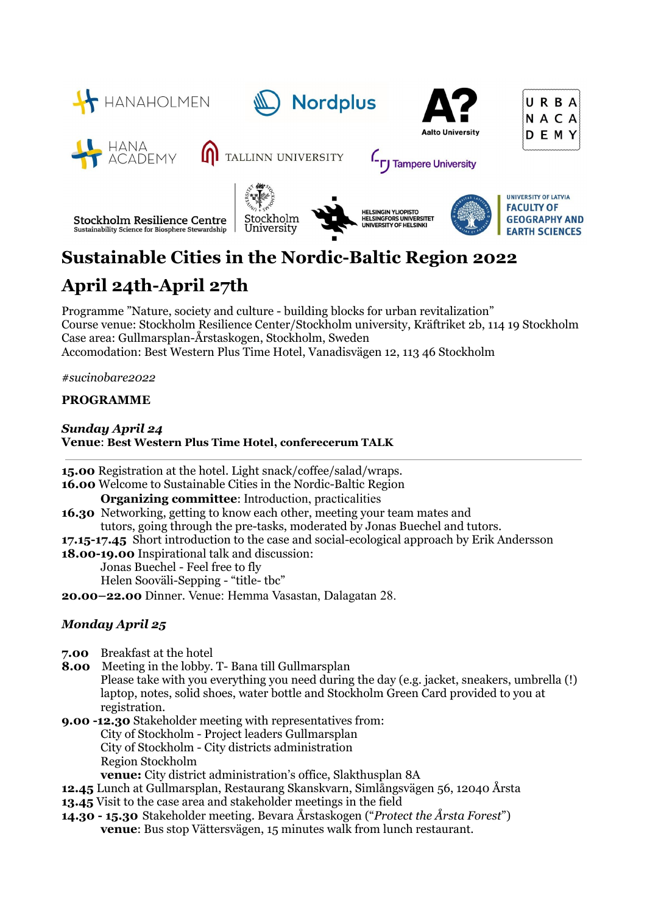

# **Sustainable Cities in the Nordic-Baltic Region 2022**

## **April 24th-April 27th**

Programme "Nature, society and culture - building blocks for urban revitalization" Course venue: Stockholm Resilience Center/Stockholm university, Kräftriket 2b, 114 19 Stockholm Case area: Gullmarsplan-Årstaskogen, Stockholm, Sweden Accomodation: Best Western Plus Time Hotel, Vanadisvägen 12, 113 46 Stockholm

*#sucinobare2022*

### **PROGRAMME**

#### *Sunday April 24* **Venue**: **Best Western Plus Time Hotel, conferecerum TALK**

**15.00** Registration at the hotel. Light snack/coffee/salad/wraps. **16.00** Welcome to Sustainable Cities in the Nordic-Baltic Region **Organizing committee**: Introduction, practicalities **16.30** Networking, getting to know each other, meeting your team mates and tutors, going through the pre-tasks, moderated by Jonas Buechel and tutors. **17.15-17.45** Short introduction to the case and social-ecological approach by Erik Andersson **18.00-19.00** Inspirational talk and discussion: Jonas Buechel - Feel free to fly Helen Sooväli-Sepping - "title- tbc" **20.00–22.00** Dinner. Venue: Hemma Vasastan, Dalagatan 28.

### *Monday April 25*

- **7.00** Breakfast at the hotel
- **8.00** Meeting in the lobby. T- Bana till Gullmarsplan Please take with you everything you need during the day (e.g. jacket, sneakers, umbrella (!) laptop, notes, solid shoes, water bottle and Stockholm Green Card provided to you at registration.

**9.00 -12.30** Stakeholder meeting with representatives from: City of Stockholm - Project leaders Gullmarsplan City of Stockholm - City districts administration Region Stockholm **venue:** City district administration's office, Slakthusplan 8A

**12.45** Lunch at Gullmarsplan, Restaurang Skanskvarn, Simlångsvägen 56, 12040 Årsta

- **13.45** Visit to the case area and stakeholder meetings in the field
- **14.30 - 15.30** Stakeholder meeting. Bevara Årstaskogen ("*Protect the Årsta Forest*") **venue**: Bus stop Vättersvägen, 15 minutes walk from lunch restaurant.